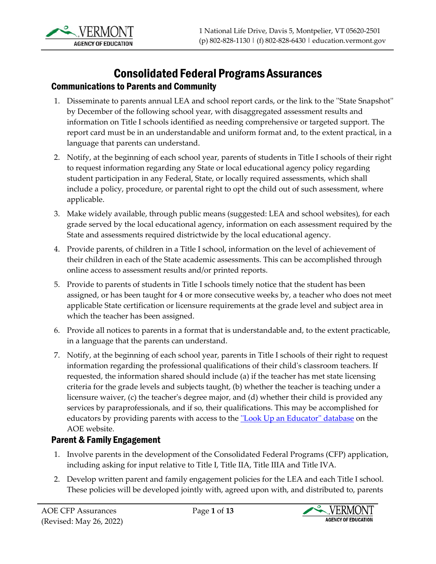

# Consolidated Federal Programs Assurances

#### Communications to Parents and Community

- 1. Disseminate to parents annual LEA and school report cards, or the link to the ''State Snapshot'' by December of the following school year, with disaggregated assessment results and information on Title I schools identified as needing comprehensive or targeted support. The report card must be in an understandable and uniform format and, to the extent practical, in a language that parents can understand.
- 2. Notify, at the beginning of each school year, parents of students in Title I schools of their right to request information regarding any State or local educational agency policy regarding student participation in any Federal, State, or locally required assessments, which shall include a policy, procedure, or parental right to opt the child out of such assessment, where applicable.
- 3. Make widely available, through public means (suggested: LEA and school websites), for each grade served by the local educational agency, information on each assessment required by the State and assessments required districtwide by the local educational agency.
- 4. Provide parents, of children in a Title I school, information on the level of achievement of their children in each of the State academic assessments. This can be accomplished through online access to assessment results and/or printed reports.
- 5. Provide to parents of students in Title I schools timely notice that the student has been assigned, or has been taught for 4 or more consecutive weeks by, a teacher who does not meet applicable State certification or licensure requirements at the grade level and subject area in which the teacher has been assigned.
- 6. Provide all notices to parents in a format that is understandable and, to the extent practicable, in a language that the parents can understand.
- 7. Notify, at the beginning of each school year, parents in Title I schools of their right to request information regarding the professional qualifications of their child's classroom teachers. If requested, the information shared should include (a) if the teacher has met state licensing criteria for the grade levels and subjects taught, (b) whether the teacher is teaching under a licensure waiver, (c) the teacher's degree major, and (d) whether their child is provided any services by paraprofessionals, and if so, their qualifications. This may be accomplished for educators by providing parents with access to the "Look Up an Educator" database on the AOE website.

## Parent & Family Engagement

- 1. Involve parents in the development of the Consolidated Federal Programs (CFP) application, including asking for input relative to Title I, Title IIA, Title IIIA and Title IVA.
- 2. Develop written parent and family engagement policies for the LEA and each Title I school. These policies will be developed jointly with, agreed upon with, and distributed to, parents

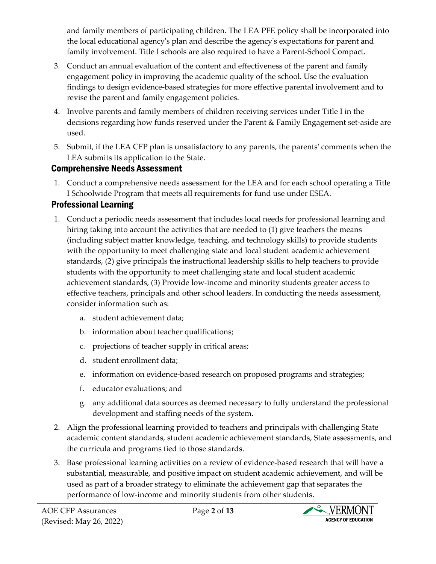and family members of participating children. The LEA PFE policy shall be incorporated into the local educational agency's plan and describe the agency's expectations for parent and family involvement. Title I schools are also required to have a Parent-School Compact.

- 3. Conduct an annual evaluation of the content and effectiveness of the parent and family engagement policy in improving the academic quality of the school. Use the evaluation findings to design evidence-based strategies for more effective parental involvement and to revise the parent and family engagement policies.
- 4. Involve parents and family members of children receiving services under Title I in the decisions regarding how funds reserved under the Parent & Family Engagement set-aside are used.
- 5. Submit, if the LEA CFP plan is unsatisfactory to any parents, the parents' comments when the LEA submits its application to the State.

## Comprehensive Needs Assessment

1. Conduct a comprehensive needs assessment for the LEA and for each school operating a Title I Schoolwide Program that meets all requirements for fund use under ESEA.

# Professional Learning

- 1. Conduct a periodic needs assessment that includes local needs for professional learning and hiring taking into account the activities that are needed to (1) give teachers the means (including subject matter knowledge, teaching, and technology skills) to provide students with the opportunity to meet challenging state and local student academic achievement standards, (2) give principals the instructional leadership skills to help teachers to provide students with the opportunity to meet challenging state and local student academic achievement standards, (3) Provide low-income and minority students greater access to effective teachers, principals and other school leaders. In conducting the needs assessment, consider information such as:
	- a. student achievement data;
	- b. information about teacher qualifications;
	- c. projections of teacher supply in critical areas;
	- d. student enrollment data;
	- e. information on evidence-based research on proposed programs and strategies;
	- f. educator evaluations; and
	- g. any additional data sources as deemed necessary to fully understand the professional development and staffing needs of the system.
- 2. Align the professional learning provided to teachers and principals with challenging State academic content standards, student academic achievement standards, State assessments, and the curricula and programs tied to those standards.
- 3. Base professional learning activities on a review of evidence-based research that will have a substantial, measurable, and positive impact on student academic achievement, and will be used as part of a broader strategy to eliminate the achievement gap that separates the performance of low-income and minority students from other students.

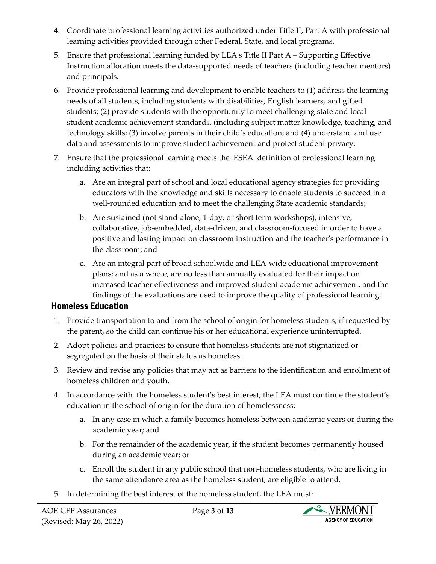- 4. Coordinate professional learning activities authorized under Title II, Part A with professional learning activities provided through other Federal, State, and local programs.
- 5. Ensure that professional learning funded by LEA's Title II Part A Supporting Effective Instruction allocation meets the data-supported needs of teachers (including teacher mentors) and principals.
- 6. Provide professional learning and development to enable teachers to (1) address the learning needs of all students, including students with disabilities, English learners, and gifted students; (2) provide students with the opportunity to meet challenging state and local student academic achievement standards, (including subject matter knowledge, teaching, and technology skills; (3) involve parents in their child's education; and (4) understand and use data and assessments to improve student achievement and protect student privacy.
- 7. Ensure that the professional learning meets the ESEA definition of professional learning including activities that:
	- a. Are an integral part of school and local educational agency strategies for providing educators with the knowledge and skills necessary to enable students to succeed in a well-rounded education and to meet the challenging State academic standards;
	- b. Are sustained (not stand-alone, 1-day, or short term workshops), intensive, collaborative, job-embedded, data-driven, and classroom-focused in order to have a positive and lasting impact on classroom instruction and the teacher's performance in the classroom; and
	- c. Are an integral part of broad schoolwide and LEA-wide educational improvement plans; and as a whole, are no less than annually evaluated for their impact on increased teacher effectiveness and improved student academic achievement, and the findings of the evaluations are used to improve the quality of professional learning.

## Homeless Education

- 1. Provide transportation to and from the school of origin for homeless students, if requested by the parent, so the child can continue his or her educational experience uninterrupted.
- 2. Adopt policies and practices to ensure that homeless students are not stigmatized or segregated on the basis of their status as homeless.
- 3. Review and revise any policies that may act as barriers to the identification and enrollment of homeless children and youth.
- 4. In accordance with the homeless student's best interest, the LEA must continue the student's education in the school of origin for the duration of homelessness:
	- a. In any case in which a family becomes homeless between academic years or during the academic year; and
	- b. For the remainder of the academic year, if the student becomes permanently housed during an academic year; or
	- c. Enroll the student in any public school that non-homeless students, who are living in the same attendance area as the homeless student, are eligible to attend.
- 5. In determining the best interest of the homeless student, the LEA must:

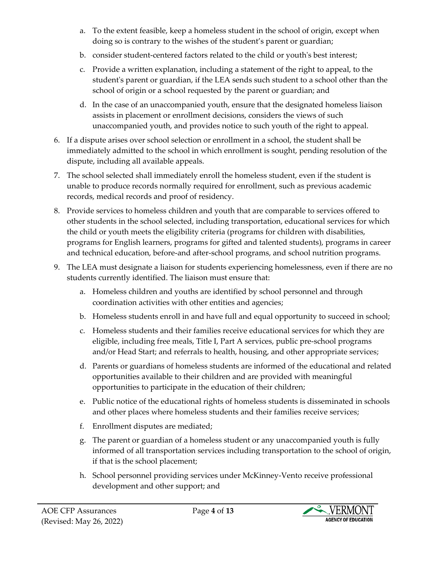- a. To the extent feasible, keep a homeless student in the school of origin, except when doing so is contrary to the wishes of the student's parent or guardian;
- b. consider student-centered factors related to the child or youth's best interest;
- c. Provide a written explanation, including a statement of the right to appeal, to the student's parent or guardian, if the LEA sends such student to a school other than the school of origin or a school requested by the parent or guardian; and
- d. In the case of an unaccompanied youth, ensure that the designated homeless liaison assists in placement or enrollment decisions, considers the views of such unaccompanied youth, and provides notice to such youth of the right to appeal.
- 6. If a dispute arises over school selection or enrollment in a school, the student shall be immediately admitted to the school in which enrollment is sought, pending resolution of the dispute, including all available appeals.
- 7. The school selected shall immediately enroll the homeless student, even if the student is unable to produce records normally required for enrollment, such as previous academic records, medical records and proof of residency.
- 8. Provide services to homeless children and youth that are comparable to services offered to other students in the school selected, including transportation, educational services for which the child or youth meets the eligibility criteria (programs for children with disabilities, programs for English learners, programs for gifted and talented students), programs in career and technical education, before-and after-school programs, and school nutrition programs.
- 9. The LEA must designate a liaison for students experiencing homelessness, even if there are no students currently identified. The liaison must ensure that:
	- a. Homeless children and youths are identified by school personnel and through coordination activities with other entities and agencies;
	- b. Homeless students enroll in and have full and equal opportunity to succeed in school;
	- c. Homeless students and their families receive educational services for which they are eligible, including free meals, Title I, Part A services, public pre-school programs and/or Head Start; and referrals to health, housing, and other appropriate services;
	- d. Parents or guardians of homeless students are informed of the educational and related opportunities available to their children and are provided with meaningful opportunities to participate in the education of their children;
	- e. Public notice of the educational rights of homeless students is disseminated in schools and other places where homeless students and their families receive services;
	- f. Enrollment disputes are mediated;
	- g. The parent or guardian of a homeless student or any unaccompanied youth is fully informed of all transportation services including transportation to the school of origin, if that is the school placement;
	- h. School personnel providing services under McKinney-Vento receive professional development and other support; and

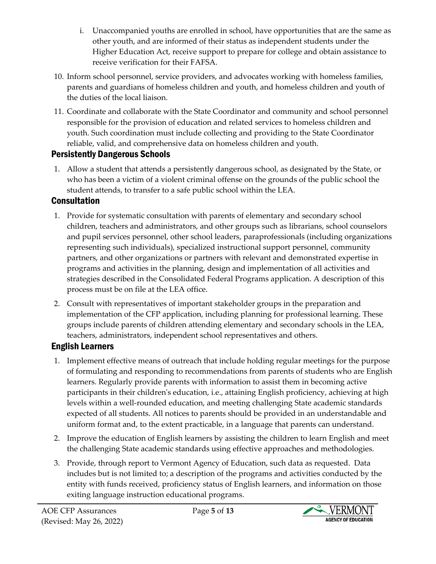- i. Unaccompanied youths are enrolled in school, have opportunities that are the same as other youth, and are informed of their status as independent students under the Higher Education Act, receive support to prepare for college and obtain assistance to receive verification for their FAFSA.
- 10. Inform school personnel, service providers, and advocates working with homeless families, parents and guardians of homeless children and youth, and homeless children and youth of the duties of the local liaison.
- 11. Coordinate and collaborate with the State Coordinator and community and school personnel responsible for the provision of education and related services to homeless children and youth. Such coordination must include collecting and providing to the State Coordinator reliable, valid, and comprehensive data on homeless children and youth.

## Persistently Dangerous Schools

1. Allow a student that attends a persistently dangerous school, as designated by the State, or who has been a victim of a violent criminal offense on the grounds of the public school the student attends, to transfer to a safe public school within the LEA.

## **Consultation**

- 1. Provide for systematic consultation with parents of elementary and secondary school children, teachers and administrators, and other groups such as librarians, school counselors and pupil services personnel, other school leaders, paraprofessionals (including organizations representing such individuals), specialized instructional support personnel, community partners, and other organizations or partners with relevant and demonstrated expertise in programs and activities in the planning, design and implementation of all activities and strategies described in the Consolidated Federal Programs application. A description of this process must be on file at the LEA office.
- 2. Consult with representatives of important stakeholder groups in the preparation and implementation of the CFP application, including planning for professional learning. These groups include parents of children attending elementary and secondary schools in the LEA, teachers, administrators, independent school representatives and others.

## English Learners

- 1. Implement effective means of outreach that include holding regular meetings for the purpose of formulating and responding to recommendations from parents of students who are English learners. Regularly provide parents with information to assist them in becoming active participants in their children's education, i.e., attaining English proficiency, achieving at high levels within a well-rounded education, and meeting challenging State academic standards expected of all students. All notices to parents should be provided in an understandable and uniform format and, to the extent practicable, in a language that parents can understand.
- 2. Improve the education of English learners by assisting the children to learn English and meet the challenging State academic standards using effective approaches and methodologies.
- 3. Provide, through report to Vermont Agency of Education, such data as requested. Data includes but is not limited to; a description of the programs and activities conducted by the entity with funds received, proficiency status of English learners, and information on those exiting language instruction educational programs.

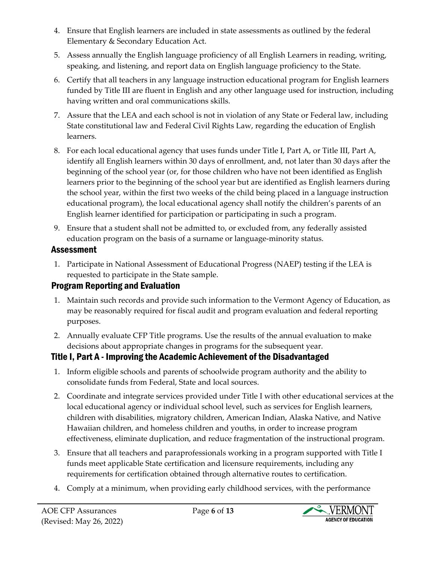- 4. Ensure that English learners are included in state assessments as outlined by the federal Elementary & Secondary Education Act.
- 5. Assess annually the English language proficiency of all English Learners in reading, writing, speaking, and listening, and report data on English language proficiency to the State.
- 6. Certify that all teachers in any language instruction educational program for English learners funded by Title III are fluent in English and any other language used for instruction, including having written and oral communications skills.
- 7. Assure that the LEA and each school is not in violation of any State or Federal law, including State constitutional law and Federal Civil Rights Law, regarding the education of English learners.
- 8. For each local educational agency that uses funds under Title I, Part A, or Title III, Part A, identify all English learners within 30 days of enrollment, and, not later than 30 days after the beginning of the school year (or, for those children who have not been identified as English learners prior to the beginning of the school year but are identified as English learners during the school year, within the first two weeks of the child being placed in a language instruction educational program), the local educational agency shall notify the children's parents of an English learner identified for participation or participating in such a program.
- 9. Ensure that a student shall not be admitted to, or excluded from, any federally assisted education program on the basis of a surname or language-minority status.

## Assessment

1. Participate in National Assessment of Educational Progress (NAEP) testing if the LEA is requested to participate in the State sample.

## Program Reporting and Evaluation

- 1. Maintain such records and provide such information to the Vermont Agency of Education, as may be reasonably required for fiscal audit and program evaluation and federal reporting purposes.
- 2. Annually evaluate CFP Title programs. Use the results of the annual evaluation to make decisions about appropriate changes in programs for the subsequent year.

# Title I, Part A - Improving the Academic Achievement of the Disadvantaged

- 1. Inform eligible schools and parents of schoolwide program authority and the ability to consolidate funds from Federal, State and local sources.
- 2. Coordinate and integrate services provided under Title I with other educational services at the local educational agency or individual school level, such as services for English learners, children with disabilities, migratory children, American Indian, Alaska Native, and Native Hawaiian children, and homeless children and youths, in order to increase program effectiveness, eliminate duplication, and reduce fragmentation of the instructional program.
- 3. Ensure that all teachers and paraprofessionals working in a program supported with Title I funds meet applicable State certification and licensure requirements, including any requirements for certification obtained through alternative routes to certification.
- 4. Comply at a minimum, when providing early childhood services, with the performance

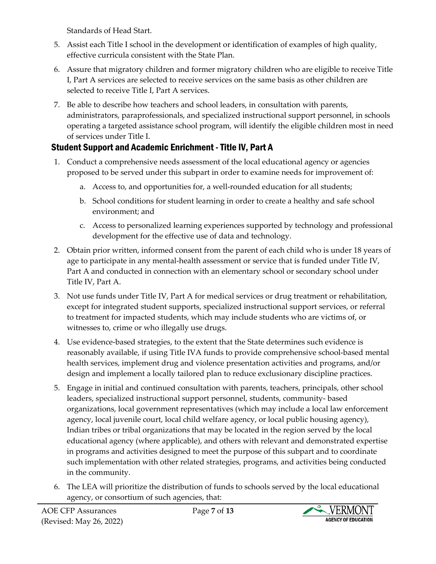Standards of Head Start.

- 5. Assist each Title I school in the development or identification of examples of high quality, effective curricula consistent with the State Plan.
- 6. Assure that migratory children and former migratory children who are eligible to receive Title I, Part A services are selected to receive services on the same basis as other children are selected to receive Title I, Part A services.
- 7. Be able to describe how teachers and school leaders, in consultation with parents, administrators, paraprofessionals, and specialized instructional support personnel, in schools operating a targeted assistance school program, will identify the eligible children most in need of services under Title I.

# Student Support and Academic Enrichment -Title IV, Part A

- 1. Conduct a comprehensive needs assessment of the local educational agency or agencies proposed to be served under this subpart in order to examine needs for improvement of:
	- a. Access to, and opportunities for, a well-rounded education for all students;
	- b. School conditions for student learning in order to create a healthy and safe school environment; and
	- c. Access to personalized learning experiences supported by technology and professional development for the effective use of data and technology.
- 2. Obtain prior written, informed consent from the parent of each child who is under 18 years of age to participate in any mental-health assessment or service that is funded under Title IV, Part A and conducted in connection with an elementary school or secondary school under Title IV, Part A.
- 3. Not use funds under Title IV, Part A for medical services or drug treatment or rehabilitation, except for integrated student supports, specialized instructional support services, or referral to treatment for impacted students, which may include students who are victims of, or witnesses to, crime or who illegally use drugs.
- 4. Use evidence-based strategies, to the extent that the State determines such evidence is reasonably available, if using Title IVA funds to provide comprehensive school-based mental health services, implement drug and violence presentation activities and programs, and/or design and implement a locally tailored plan to reduce exclusionary discipline practices.
- 5. Engage in initial and continued consultation with parents, teachers, principals, other school leaders, specialized instructional support personnel, students, community- based organizations, local government representatives (which may include a local law enforcement agency, local juvenile court, local child welfare agency, or local public housing agency), Indian tribes or tribal organizations that may be located in the region served by the local educational agency (where applicable), and others with relevant and demonstrated expertise in programs and activities designed to meet the purpose of this subpart and to coordinate such implementation with other related strategies, programs, and activities being conducted in the community.
- 6. The LEA will prioritize the distribution of funds to schools served by the local educational agency, or consortium of such agencies, that:

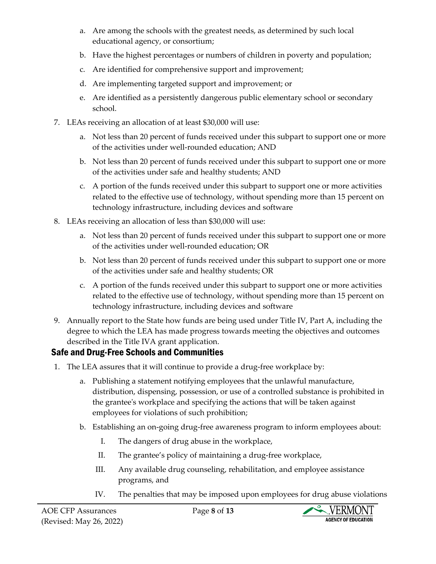- a. Are among the schools with the greatest needs, as determined by such local educational agency, or consortium;
- b. Have the highest percentages or numbers of children in poverty and population;
- c. Are identified for comprehensive support and improvement;
- d. Are implementing targeted support and improvement; or
- e. Are identified as a persistently dangerous public elementary school or secondary school.
- 7. LEAs receiving an allocation of at least \$30,000 will use:
	- a. Not less than 20 percent of funds received under this subpart to support one or more of the activities under well-rounded education; AND
	- b. Not less than 20 percent of funds received under this subpart to support one or more of the activities under safe and healthy students; AND
	- c. A portion of the funds received under this subpart to support one or more activities related to the effective use of technology, without spending more than 15 percent on technology infrastructure, including devices and software
- 8. LEAs receiving an allocation of less than \$30,000 will use:
	- a. Not less than 20 percent of funds received under this subpart to support one or more of the activities under well-rounded education; OR
	- b. Not less than 20 percent of funds received under this subpart to support one or more of the activities under safe and healthy students; OR
	- c. A portion of the funds received under this subpart to support one or more activities related to the effective use of technology, without spending more than 15 percent on technology infrastructure, including devices and software
- 9. Annually report to the State how funds are being used under Title IV, Part A, including the degree to which the LEA has made progress towards meeting the objectives and outcomes described in the Title IVA grant application.

## Safe and Drug-Free Schools and Communities

- 1. The LEA assures that it will continue to provide a drug-free workplace by:
	- a. Publishing a statement notifying employees that the unlawful manufacture, distribution, dispensing, possession, or use of a controlled substance is prohibited in the grantee's workplace and specifying the actions that will be taken against employees for violations of such prohibition;
	- b. Establishing an on-going drug-free awareness program to inform employees about:
		- I. The dangers of drug abuse in the workplace,
		- II. The grantee's policy of maintaining a drug-free workplace,
		- III. Any available drug counseling, rehabilitation, and employee assistance programs, and
		- IV. The penalties that may be imposed upon employees for drug abuse violations

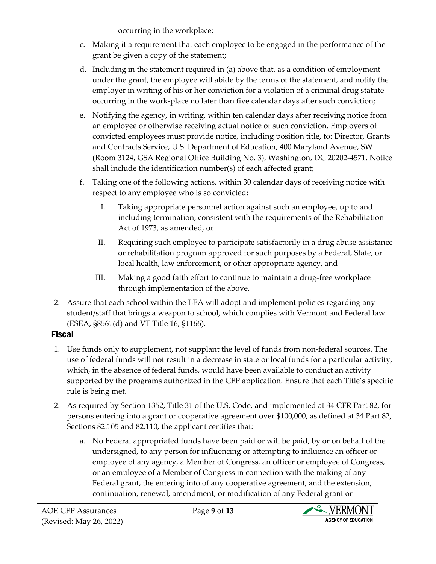occurring in the workplace;

- c. Making it a requirement that each employee to be engaged in the performance of the grant be given a copy of the statement;
- d. Including in the statement required in (a) above that, as a condition of employment under the grant, the employee will abide by the terms of the statement, and notify the employer in writing of his or her conviction for a violation of a criminal drug statute occurring in the work-place no later than five calendar days after such conviction;
- e. Notifying the agency, in writing, within ten calendar days after receiving notice from an employee or otherwise receiving actual notice of such conviction. Employers of convicted employees must provide notice, including position title, to: Director, Grants and Contracts Service, U.S. Department of Education, 400 Maryland Avenue, SW (Room 3124, GSA Regional Office Building No. 3), Washington, DC 20202-4571. Notice shall include the identification number(s) of each affected grant;
- f. Taking one of the following actions, within 30 calendar days of receiving notice with respect to any employee who is so convicted:
	- I. Taking appropriate personnel action against such an employee, up to and including termination, consistent with the requirements of the Rehabilitation Act of 1973, as amended, or
	- II. Requiring such employee to participate satisfactorily in a drug abuse assistance or rehabilitation program approved for such purposes by a Federal, State, or local health, law enforcement, or other appropriate agency, and
	- III. Making a good faith effort to continue to maintain a drug-free workplace through implementation of the above.
- 2. Assure that each school within the LEA will adopt and implement policies regarding any student/staff that brings a weapon to school, which complies with Vermont and Federal law (ESEA, §8561(d) and VT Title 16, §1166).

# Fiscal

- 1. Use funds only to supplement, not supplant the level of funds from non-federal sources. The use of federal funds will not result in a decrease in state or local funds for a particular activity, which, in the absence of federal funds, would have been available to conduct an activity supported by the programs authorized in the CFP application. Ensure that each Title's specific rule is being met.
- 2. As required by Section 1352, Title 31 of the U.S. Code, and implemented at 34 CFR Part 82, for persons entering into a grant or cooperative agreement over \$100,000, as defined at 34 Part 82, Sections 82.105 and 82.110, the applicant certifies that:
	- a. No Federal appropriated funds have been paid or will be paid, by or on behalf of the undersigned, to any person for influencing or attempting to influence an officer or employee of any agency, a Member of Congress, an officer or employee of Congress, or an employee of a Member of Congress in connection with the making of any Federal grant, the entering into of any cooperative agreement, and the extension, continuation, renewal, amendment, or modification of any Federal grant or

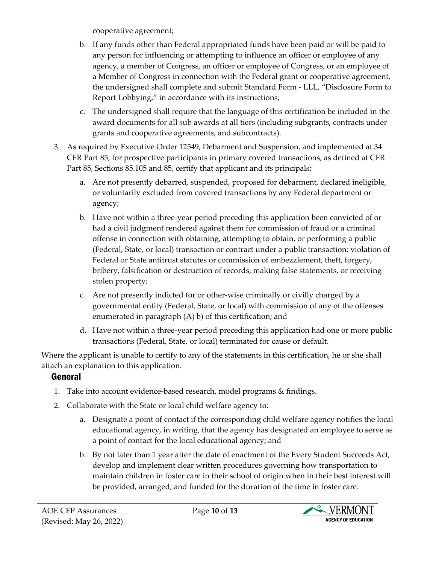cooperative agreement;

- b. If any funds other than Federal appropriated funds have been paid or will be paid to any person for influencing or attempting to influence an officer or employee of any agency, a member of Congress, an officer or employee of Congress, or an employee of a Member of Congress in connection with the Federal grant or cooperative agreement, the undersigned shall complete and submit Standard Form - LLL, "Disclosure Form to Report Lobbying," in accordance with its instructions;
- c. The undersigned shall require that the language of this certification be included in the award documents for all sub awards at all tiers (including subgrants, contracts under grants and cooperative agreements, and subcontracts).
- 3. As required by Executive Order 12549, Debarment and Suspension, and implemented at 34 CFR Part 85, for prospective participants in primary covered transactions, as defined at CFR Part 85, Sections 85.105 and 85, certify that applicant and its principals:
	- a. Are not presently debarred, suspended, proposed for debarment, declared ineligible, or voluntarily excluded from covered transactions by any Federal department or agency;
	- b. Have not within a three-year period preceding this application been convicted of or had a civil judgment rendered against them for commission of fraud or a criminal offense in connection with obtaining, attempting to obtain, or performing a public (Federal, State, or local) transaction or contract under a public transaction; violation of Federal or State antitrust statutes or commission of embezzlement, theft, forgery, bribery, falsification or destruction of records, making false statements, or receiving stolen property;
	- c. Are not presently indicted for or other-wise criminally or civilly charged by a governmental entity (Federal, State, or local) with commission of any of the offenses enumerated in paragraph (A) b) of this certification; and
	- d. Have not within a three-year period preceding this application had one or more public transactions (Federal, State, or local) terminated for cause or default.

Where the applicant is unable to certify to any of the statements in this certification, he or she shall attach an explanation to this application.

# General

- 1. Take into account evidence-based research, model programs & findings.
- 2. Collaborate with the State or local child welfare agency to:
	- a. Designate a point of contact if the corresponding child welfare agency notifies the local educational agency, in writing, that the agency has designated an employee to serve as a point of contact for the local educational agency; and
	- b. By not later than 1 year after the date of enactment of the Every Student Succeeds Act, develop and implement clear written procedures governing how transportation to maintain children in foster care in their school of origin when in their best interest will be provided, arranged, and funded for the duration of the time in foster care.

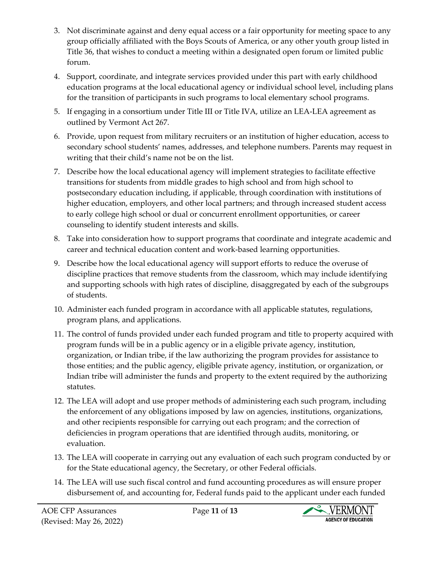- 3. Not discriminate against and deny equal access or a fair opportunity for meeting space to any group officially affiliated with the Boys Scouts of America, or any other youth group listed in Title 36, that wishes to conduct a meeting within a designated open forum or limited public forum.
- 4. Support, coordinate, and integrate services provided under this part with early childhood education programs at the local educational agency or individual school level, including plans for the transition of participants in such programs to local elementary school programs.
- 5. If engaging in a consortium under Title III or Title IVA, utilize an LEA-LEA agreement as outlined by Vermont Act 267.
- 6. Provide, upon request from military recruiters or an institution of higher education, access to secondary school students' names, addresses, and telephone numbers. Parents may request in writing that their child's name not be on the list.
- 7. Describe how the local educational agency will implement strategies to facilitate effective transitions for students from middle grades to high school and from high school to postsecondary education including, if applicable, through coordination with institutions of higher education, employers, and other local partners; and through increased student access to early college high school or dual or concurrent enrollment opportunities, or career counseling to identify student interests and skills.
- 8. Take into consideration how to support programs that coordinate and integrate academic and career and technical education content and work-based learning opportunities.
- 9. Describe how the local educational agency will support efforts to reduce the overuse of discipline practices that remove students from the classroom, which may include identifying and supporting schools with high rates of discipline, disaggregated by each of the subgroups of students.
- 10. Administer each funded program in accordance with all applicable statutes, regulations, program plans, and applications.
- 11. The control of funds provided under each funded program and title to property acquired with program funds will be in a public agency or in a eligible private agency, institution, organization, or Indian tribe, if the law authorizing the program provides for assistance to those entities; and the public agency, eligible private agency, institution, or organization, or Indian tribe will administer the funds and property to the extent required by the authorizing statutes.
- 12. The LEA will adopt and use proper methods of administering each such program, including the enforcement of any obligations imposed by law on agencies, institutions, organizations, and other recipients responsible for carrying out each program; and the correction of deficiencies in program operations that are identified through audits, monitoring, or evaluation.
- 13. The LEA will cooperate in carrying out any evaluation of each such program conducted by or for the State educational agency, the Secretary, or other Federal officials.
- 14. The LEA will use such fiscal control and fund accounting procedures as will ensure proper disbursement of, and accounting for, Federal funds paid to the applicant under each funded

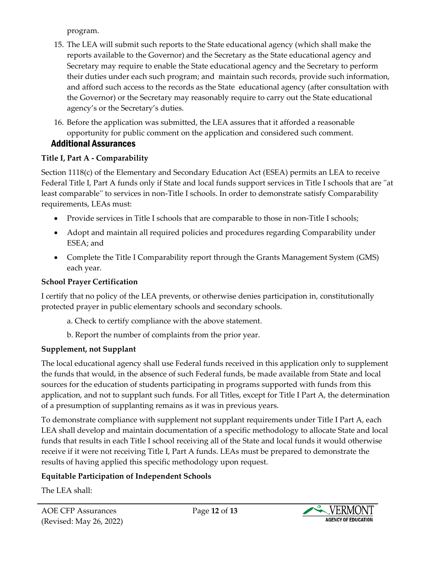program.

- 15. The LEA will submit such reports to the State educational agency (which shall make the reports available to the Governor) and the Secretary as the State educational agency and Secretary may require to enable the State educational agency and the Secretary to perform their duties under each such program; and maintain such records, provide such information, and afford such access to the records as the State educational agency (after consultation with the Governor) or the Secretary may reasonably require to carry out the State educational agency's or the Secretary's duties.
- 16. Before the application was submitted, the LEA assures that it afforded a reasonable opportunity for public comment on the application and considered such comment. Additional Assurances

#### **Title I, Part A - Comparability**

Section 1118(c) of the Elementary and Secondary Education Act (ESEA) permits an LEA to receive Federal Title I, Part A funds only if State and local funds support services in Title I schools that are ''at least comparable'' to services in non-Title I schools. In order to demonstrate satisfy Comparability requirements, LEAs must:

- Provide services in Title I schools that are comparable to those in non-Title I schools;
- Adopt and maintain all required policies and procedures regarding Comparability under ESEA; and
- Complete the Title I Comparability report through the Grants Management System (GMS) each year.

#### **School Prayer Certification**

I certify that no policy of the LEA prevents, or otherwise denies participation in, constitutionally protected prayer in public elementary schools and secondary schools.

- a. Check to certify compliance with the above statement.
- b. Report the number of complaints from the prior year.

## **Supplement, not Supplant**

The local educational agency shall use Federal funds received in this application only to supplement the funds that would, in the absence of such Federal funds, be made available from State and local sources for the education of students participating in programs supported with funds from this application, and not to supplant such funds. For all Titles, except for Title I Part A, the determination of a presumption of supplanting remains as it was in previous years.

To demonstrate compliance with supplement not supplant requirements under Title I Part A, each LEA shall develop and maintain documentation of a specific methodology to allocate State and local funds that results in each Title I school receiving all of the State and local funds it would otherwise receive if it were not receiving Title I, Part A funds. LEAs must be prepared to demonstrate the results of having applied this specific methodology upon request.

## **Equitable Participation of Independent Schools**

The LEA shall: